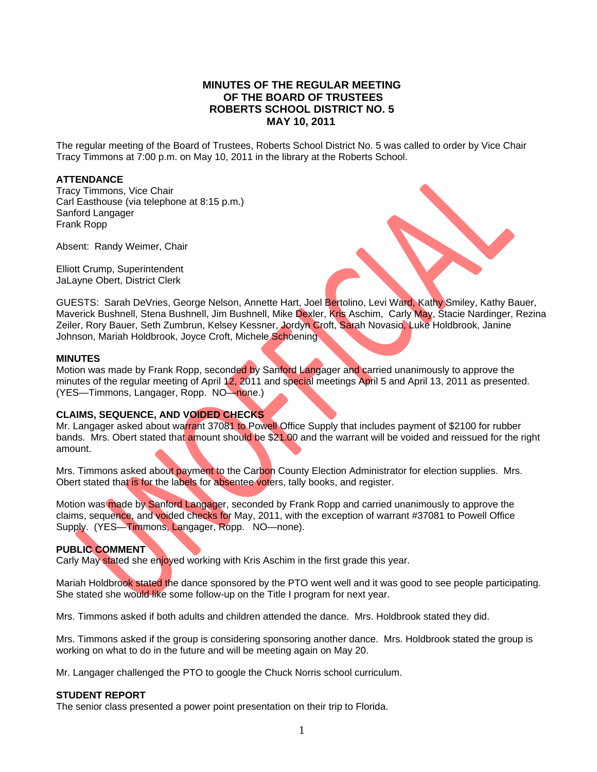# **MINUTES OF THE REGULAR MEETING OF THE BOARD OF TRUSTEES ROBERTS SCHOOL DISTRICT NO. 5 MAY 10, 2011**

The regular meeting of the Board of Trustees, Roberts School District No. 5 was called to order by Vice Chair Tracy Timmons at 7:00 p.m. on May 10, 2011 in the library at the Roberts School.

# **ATTENDANCE**

Tracy Timmons, Vice Chair Carl Easthouse (via telephone at 8:15 p.m.) Sanford Langager Frank Ropp

Absent: Randy Weimer, Chair

Elliott Crump, Superintendent JaLayne Obert, District Clerk

GUESTS: Sarah DeVries, George Nelson, Annette Hart, Joel Bertolino, Levi Ward, Kathy Smiley, Kathy Bauer, Maverick Bushnell, Stena Bushnell, Jim Bushnell, Mike Dexler, Kris Aschim, Carly May, Stacie Nardinger, Rezina Zeiler, Rory Bauer, Seth Zumbrun, Kelsey Kessner, Jordyn Croft, Sarah Novasio, Luke Holdbrook, Janine Johnson, Mariah Holdbrook, Joyce Croft, Michele Schoening

# **MINUTES**

Motion was made by Frank Ropp, seconded by Sanford Langager and carried unanimously to approve the minutes of the regular meeting of April 12, 2011 and special meetings April 5 and April 13, 2011 as presented. (YES—Timmons, Langager, Ropp. NO—none.)

# **CLAIMS, SEQUENCE, AND VOIDED CHECKS**

Mr. Langager asked about warrant 37081 to Powell Office Supply that includes payment of \$2100 for rubber bands. Mrs. Obert stated that amount should be \$21.00 and the warrant will be voided and reissued for the right amount.

Mrs. Timmons asked about payment to the Carbon County Election Administrator for election supplies. Mrs. Obert stated that is for the labels for absentee voters, tally books, and register.

Motion was made by Sanford Langager, seconded by Frank Ropp and carried unanimously to approve the claims, sequence, and voided checks for May, 2011, with the exception of warrant #37081 to Powell Office Supply. (YES—Timmons, Langager, Ropp. NO—none).

# **PUBLIC COMMENT**

Carly May stated she enjoyed working with Kris Aschim in the first grade this year.

Mariah Holdbrook stated the dance sponsored by the PTO went well and it was good to see people participating. She stated she would like some follow-up on the Title I program for next year.

Mrs. Timmons asked if both adults and children attended the dance. Mrs. Holdbrook stated they did.

Mrs. Timmons asked if the group is considering sponsoring another dance. Mrs. Holdbrook stated the group is working on what to do in the future and will be meeting again on May 20.

Mr. Langager challenged the PTO to google the Chuck Norris school curriculum.

# **STUDENT REPORT**

The senior class presented a power point presentation on their trip to Florida.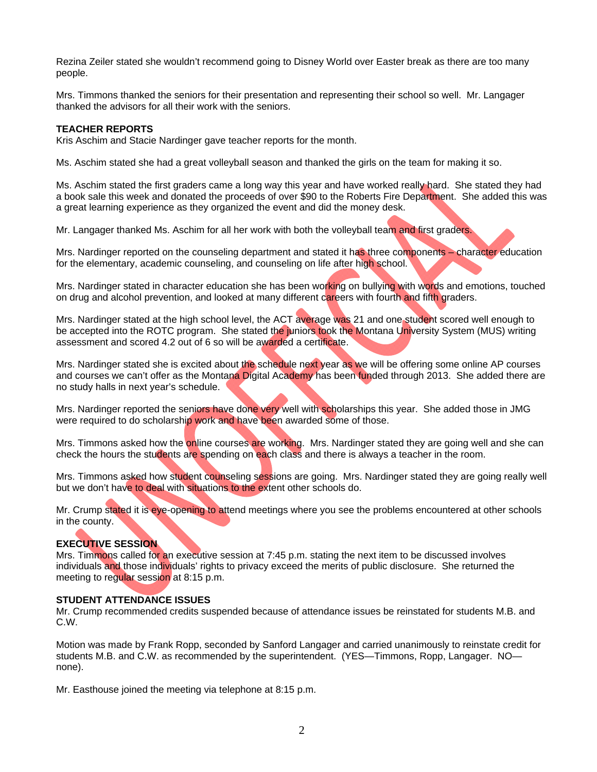Rezina Zeiler stated she wouldn't recommend going to Disney World over Easter break as there are too many people.

Mrs. Timmons thanked the seniors for their presentation and representing their school so well. Mr. Langager thanked the advisors for all their work with the seniors.

# **TEACHER REPORTS**

Kris Aschim and Stacie Nardinger gave teacher reports for the month.

Ms. Aschim stated she had a great volleyball season and thanked the girls on the team for making it so.

Ms. Aschim stated the first graders came a long way this year and have worked really hard. She stated they had a book sale this week and donated the proceeds of over \$90 to the Roberts Fire Department. She added this was a great learning experience as they organized the event and did the money desk.

Mr. Langager thanked Ms. Aschim for all her work with both the volleyball team and first graders.

Mrs. Nardinger reported on the counseling department and stated it has three components – character education for the elementary, academic counseling, and counseling on life after high school.

Mrs. Nardinger stated in character education she has been working on bullying with words and emotions, touched on drug and alcohol prevention, and looked at many different careers with fourth and fifth graders.

Mrs. Nardinger stated at the high school level, the ACT average was 21 and one student scored well enough to be accepted into the ROTC program. She stated the juniors took the Montana University System (MUS) writing assessment and scored 4.2 out of 6 so will be awarded a certificate.

Mrs. Nardinger stated she is excited about the schedule next year as we will be offering some online AP courses and courses we can't offer as the Montana Digital Academy has been funded through 2013. She added there are no study halls in next year's schedule.

Mrs. Nardinger reported the seniors have done very well with scholarships this year. She added those in JMG were required to do scholarship work and have been awarded some of those.

Mrs. Timmons asked how the online courses are working. Mrs. Nardinger stated they are going well and she can check the hours the students are spending on each class and there is always a teacher in the room.

Mrs. Timmons asked how student counseling sessions are going. Mrs. Nardinger stated they are going really well but we don't have to deal with situations to the extent other schools do.

Mr. Crump stated it is eye-opening to attend meetings where you see the problems encountered at other schools in the county.

# **EXECUTIVE SESSION**

Mrs. Timmons called for an executive session at 7:45 p.m. stating the next item to be discussed involves individuals and those individuals' rights to privacy exceed the merits of public disclosure. She returned the meeting to regular session at 8:15 p.m.

# **STUDENT ATTENDANCE ISSUES**

Mr. Crump recommended credits suspended because of attendance issues be reinstated for students M.B. and C.W.

Motion was made by Frank Ropp, seconded by Sanford Langager and carried unanimously to reinstate credit for students M.B. and C.W. as recommended by the superintendent. (YES—Timmons, Ropp, Langager. NO none).

Mr. Easthouse joined the meeting via telephone at 8:15 p.m.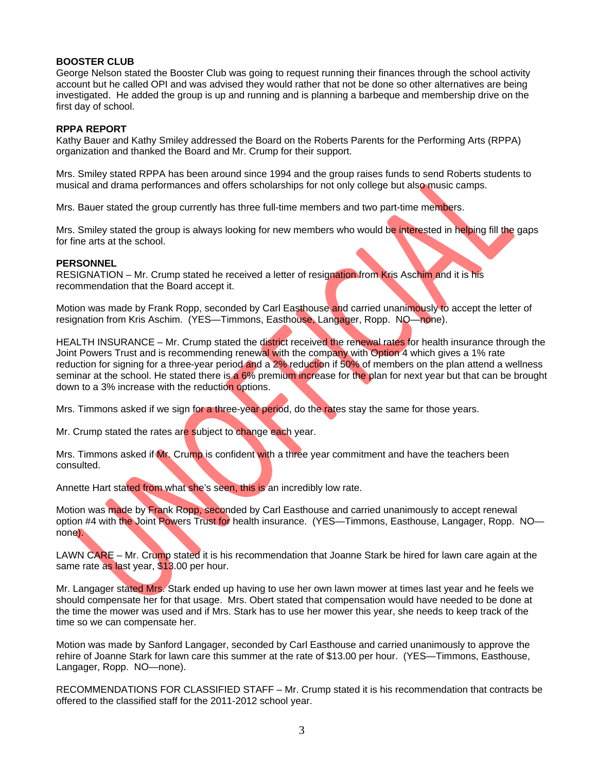# **BOOSTER CLUB**

George Nelson stated the Booster Club was going to request running their finances through the school activity account but he called OPI and was advised they would rather that not be done so other alternatives are being investigated. He added the group is up and running and is planning a barbeque and membership drive on the first day of school.

# **RPPA REPORT**

Kathy Bauer and Kathy Smiley addressed the Board on the Roberts Parents for the Performing Arts (RPPA) organization and thanked the Board and Mr. Crump for their support.

Mrs. Smiley stated RPPA has been around since 1994 and the group raises funds to send Roberts students to musical and drama performances and offers scholarships for not only college but also music camps.

Mrs. Bauer stated the group currently has three full-time members and two part-time members.

Mrs. Smiley stated the group is always looking for new members who would be interested in helping fill the gaps for fine arts at the school.

# **PERSONNEL**

RESIGNATION – Mr. Crump stated he received a letter of resignation from Kris Aschim and it is his recommendation that the Board accept it.

Motion was made by Frank Ropp, seconded by Carl Easthouse and carried unanimously to accept the letter of resignation from Kris Aschim. (YES—Timmons, Easthouse, Langager, Ropp. NO—none).

HEALTH INSURANCE – Mr. Crump stated the district received the renewal rates for health insurance through the Joint Powers Trust and is recommending renewal with the company with Option 4 which gives a 1% rate reduction for signing for a three-year period and a 2% reduction if 50% of members on the plan attend a wellness seminar at the school. He stated there is a 6% premium increase for the plan for next year but that can be brought down to a 3% increase with the reduction options.

Mrs. Timmons asked if we sign for a three-year period, do the rates stay the same for those years.

Mr. Crump stated the rates are subject to change each year.

Mrs. Timmons asked if Mr. Crump is confident with a three year commitment and have the teachers been consulted.

Annette Hart stated from what she's seen, this is an incredibly low rate.

Motion was made by Frank Ropp, seconded by Carl Easthouse and carried unanimously to accept renewal option #4 with the Joint Powers Trust for health insurance. (YES—Timmons, Easthouse, Langager, Ropp. NO none).

LAWN CARE – Mr. Crump stated it is his recommendation that Joanne Stark be hired for lawn care again at the same rate as last year, \$13.00 per hour.

Mr. Langager stated Mrs. Stark ended up having to use her own lawn mower at times last year and he feels we should compensate her for that usage. Mrs. Obert stated that compensation would have needed to be done at the time the mower was used and if Mrs. Stark has to use her mower this year, she needs to keep track of the time so we can compensate her.

Motion was made by Sanford Langager, seconded by Carl Easthouse and carried unanimously to approve the rehire of Joanne Stark for lawn care this summer at the rate of \$13.00 per hour. (YES—Timmons, Easthouse, Langager, Ropp. NO—none).

RECOMMENDATIONS FOR CLASSIFIED STAFF – Mr. Crump stated it is his recommendation that contracts be offered to the classified staff for the 2011-2012 school year.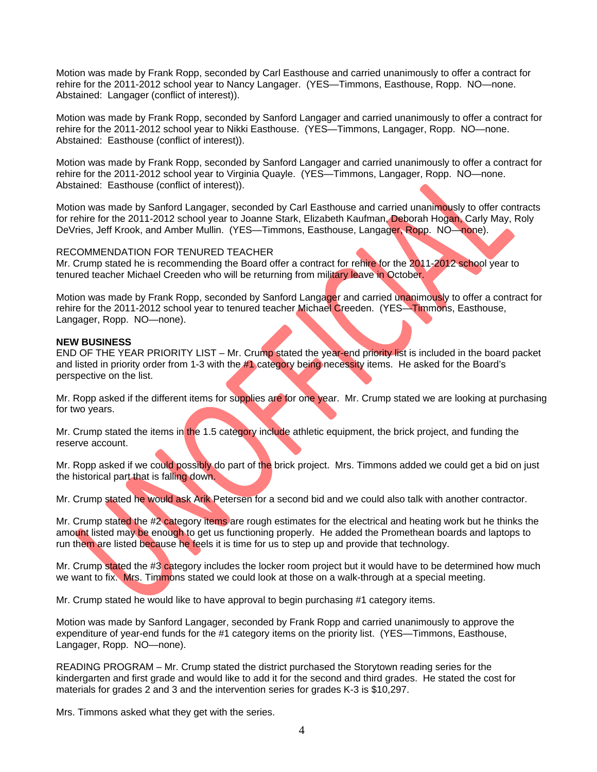Motion was made by Frank Ropp, seconded by Carl Easthouse and carried unanimously to offer a contract for rehire for the 2011-2012 school year to Nancy Langager. (YES—Timmons, Easthouse, Ropp. NO—none. Abstained: Langager (conflict of interest)).

Motion was made by Frank Ropp, seconded by Sanford Langager and carried unanimously to offer a contract for rehire for the 2011-2012 school year to Nikki Easthouse. (YES—Timmons, Langager, Ropp. NO—none. Abstained: Easthouse (conflict of interest)).

Motion was made by Frank Ropp, seconded by Sanford Langager and carried unanimously to offer a contract for rehire for the 2011-2012 school year to Virginia Quayle. (YES—Timmons, Langager, Ropp. NO—none. Abstained: Easthouse (conflict of interest)).

Motion was made by Sanford Langager, seconded by Carl Easthouse and carried unanimously to offer contracts for rehire for the 2011-2012 school year to Joanne Stark, Elizabeth Kaufman, Deborah Hogan, Carly May, Roly DeVries, Jeff Krook, and Amber Mullin. (YES—Timmons, Easthouse, Langager, Ropp. NO—none).

# RECOMMENDATION FOR TENURED TEACHER

Mr. Crump stated he is recommending the Board offer a contract for rehire for the 2011-2012 school year to tenured teacher Michael Creeden who will be returning from military leave in October.

Motion was made by Frank Ropp, seconded by Sanford Langager and carried unanimously to offer a contract for rehire for the 2011-2012 school year to tenured teacher Michael Creeden. (YES—Timmons, Easthouse, Langager, Ropp. NO—none).

# **NEW BUSINESS**

END OF THE YEAR PRIORITY LIST – Mr. Crump stated the year-end priority list is included in the board packet and listed in priority order from 1-3 with the #1 category being necessity items. He asked for the Board's perspective on the list.

Mr. Ropp asked if the different items for supplies are for one year. Mr. Crump stated we are looking at purchasing for two years.

Mr. Crump stated the items in the 1.5 category include athletic equipment, the brick project, and funding the reserve account.

Mr. Ropp asked if we could possibly do part of the brick project. Mrs. Timmons added we could get a bid on just the historical part that is falling down.

Mr. Crump stated he would ask Arik Petersen for a second bid and we could also talk with another contractor.

Mr. Crump stated the #2 category items are rough estimates for the electrical and heating work but he thinks the amount listed may be enough to get us functioning properly. He added the Promethean boards and laptops to run them are listed because he feels it is time for us to step up and provide that technology.

Mr. Crump stated the #3 category includes the locker room project but it would have to be determined how much we want to fix. Mrs. Timmons stated we could look at those on a walk-through at a special meeting.

Mr. Crump stated he would like to have approval to begin purchasing #1 category items.

Motion was made by Sanford Langager, seconded by Frank Ropp and carried unanimously to approve the expenditure of year-end funds for the #1 category items on the priority list. (YES—Timmons, Easthouse, Langager, Ropp. NO—none).

READING PROGRAM – Mr. Crump stated the district purchased the Storytown reading series for the kindergarten and first grade and would like to add it for the second and third grades. He stated the cost for materials for grades 2 and 3 and the intervention series for grades K-3 is \$10,297.

Mrs. Timmons asked what they get with the series.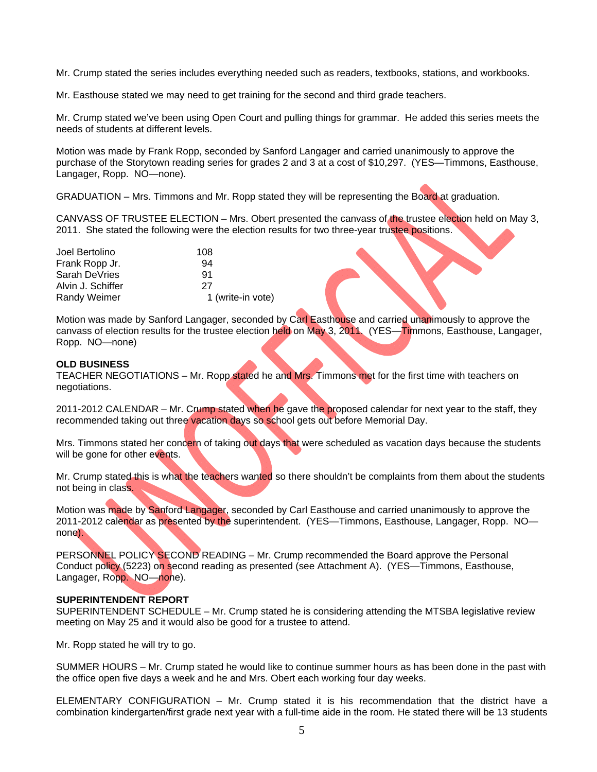Mr. Crump stated the series includes everything needed such as readers, textbooks, stations, and workbooks.

Mr. Easthouse stated we may need to get training for the second and third grade teachers.

Mr. Crump stated we've been using Open Court and pulling things for grammar. He added this series meets the needs of students at different levels.

Motion was made by Frank Ropp, seconded by Sanford Langager and carried unanimously to approve the purchase of the Storytown reading series for grades 2 and 3 at a cost of \$10,297. (YES—Timmons, Easthouse, Langager, Ropp. NO—none).

GRADUATION – Mrs. Timmons and Mr. Ropp stated they will be representing the Board at graduation.

CANVASS OF TRUSTEE ELECTION – Mrs. Obert presented the canvass of the trustee election held on May 3, 2011. She stated the following were the election results for two three-year trustee positions.

| Joel Bertolino      | 108               |
|---------------------|-------------------|
| Frank Ropp Jr.      | 94                |
| Sarah DeVries       | 91                |
| Alvin J. Schiffer   | 27                |
| <b>Randy Weimer</b> | 1 (write-in vote) |

Motion was made by Sanford Langager, seconded by Carl Easthouse and carried unanimously to approve the canvass of election results for the trustee election held on May 3, 2011. (YES—Timmons, Easthouse, Langager, Ropp. NO—none)

# **OLD BUSINESS**

TEACHER NEGOTIATIONS – Mr. Ropp stated he and Mrs. Timmons met for the first time with teachers on negotiations.

2011-2012 CALENDAR – Mr. Crump stated when he gave the proposed calendar for next year to the staff, they recommended taking out three vacation days so school gets out before Memorial Day.

Mrs. Timmons stated her concern of taking out days that were scheduled as vacation days because the students will be gone for other events.

Mr. Crump stated this is what the teachers wanted so there shouldn't be complaints from them about the students not being in class.

Motion was made by Sanford Langager, seconded by Carl Easthouse and carried unanimously to approve the 2011-2012 calendar as presented by the superintendent. (YES—Timmons, Easthouse, Langager, Ropp. NO none).

PERSONNEL POLICY SECOND READING - Mr. Crump recommended the Board approve the Personal Conduct policy (5223) on second reading as presented (see Attachment A). (YES—Timmons, Easthouse, Langager, Ropp. NO—none).

# **SUPERINTENDENT REPORT**

SUPERINTENDENT SCHEDULE – Mr. Crump stated he is considering attending the MTSBA legislative review meeting on May 25 and it would also be good for a trustee to attend.

Mr. Ropp stated he will try to go.

SUMMER HOURS – Mr. Crump stated he would like to continue summer hours as has been done in the past with the office open five days a week and he and Mrs. Obert each working four day weeks.

ELEMENTARY CONFIGURATION – Mr. Crump stated it is his recommendation that the district have a combination kindergarten/first grade next year with a full-time aide in the room. He stated there will be 13 students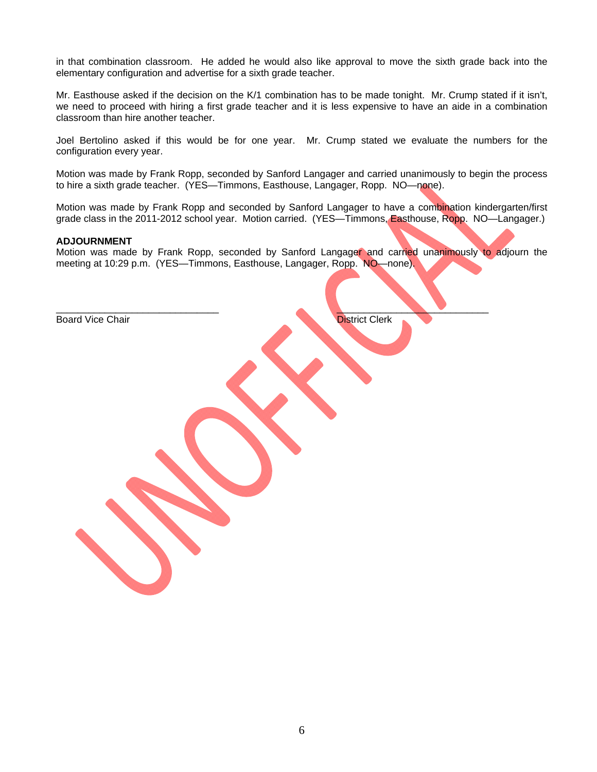in that combination classroom. He added he would also like approval to move the sixth grade back into the elementary configuration and advertise for a sixth grade teacher.

Mr. Easthouse asked if the decision on the K/1 combination has to be made tonight. Mr. Crump stated if it isn't, we need to proceed with hiring a first grade teacher and it is less expensive to have an aide in a combination classroom than hire another teacher.

Joel Bertolino asked if this would be for one year. Mr. Crump stated we evaluate the numbers for the configuration every year.

Motion was made by Frank Ropp, seconded by Sanford Langager and carried unanimously to begin the process to hire a sixth grade teacher. (YES—Timmons, Easthouse, Langager, Ropp. NO—none).

Motion was made by Frank Ropp and seconded by Sanford Langager to have a combination kindergarten/first grade class in the 2011-2012 school year. Motion carried. (YES—Timmons, Easthouse, Ropp. NO—Langager.)

#### **ADJOURNMENT**

Motion was made by Frank Ropp, seconded by Sanford Langager and carried unanimously to adjourn the meeting at 10:29 p.m. (YES—Timmons, Easthouse, Langager, Ropp. NO—none).

 $\frac{1}{2}$  ,  $\frac{1}{2}$  ,  $\frac{1}{2}$  ,  $\frac{1}{2}$  ,  $\frac{1}{2}$  ,  $\frac{1}{2}$  ,  $\frac{1}{2}$  ,  $\frac{1}{2}$  ,  $\frac{1}{2}$  ,  $\frac{1}{2}$  ,  $\frac{1}{2}$  ,  $\frac{1}{2}$  ,  $\frac{1}{2}$  ,  $\frac{1}{2}$  ,  $\frac{1}{2}$  ,  $\frac{1}{2}$  ,  $\frac{1}{2}$  ,  $\frac{1}{2}$  ,  $\frac{1$ 

Board Vice Chair **District Clerk**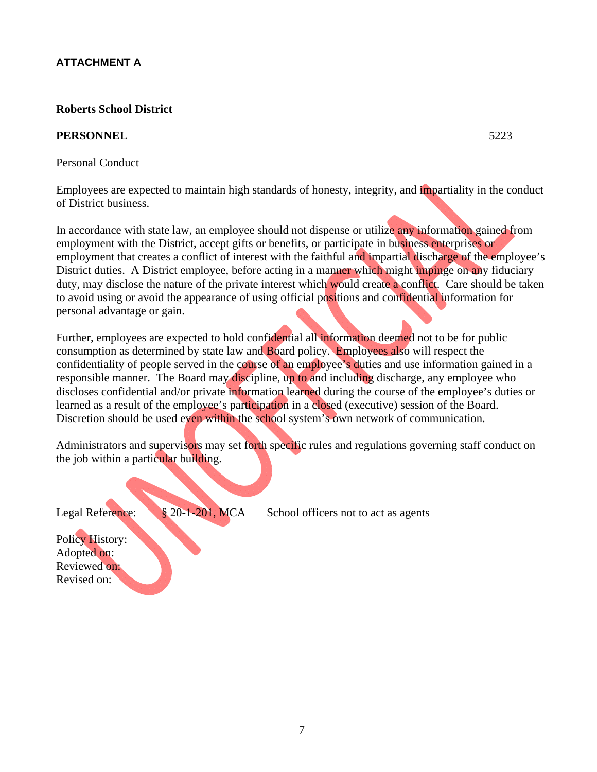# **ATTACHMENT A**

# **Roberts School District**

# **PERSONNEL** 5223

# Personal Conduct

Employees are expected to maintain high standards of honesty, integrity, and impartiality in the conduct of District business.

In accordance with state law, an employee should not dispense or utilize any information gained from employment with the District, accept gifts or benefits, or participate in business enterprises or employment that creates a conflict of interest with the faithful and impartial discharge of the employee's District duties. A District employee, before acting in a manner which might impinge on any fiduciary duty, may disclose the nature of the private interest which would create a conflict. Care should be taken to avoid using or avoid the appearance of using official positions and confidential information for personal advantage or gain.

Further, employees are expected to hold confidential all information deemed not to be for public consumption as determined by state law and Board policy. Employees also will respect the confidentiality of people served in the course of an employee's duties and use information gained in a responsible manner. The Board may discipline, up to and including discharge, any employee who discloses confidential and/or private information learned during the course of the employee's duties or learned as a result of the employee's participation in a closed (executive) session of the Board. Discretion should be used even within the school system's own network of communication.

Administrators and supervisors may set forth specific rules and regulations governing staff conduct on the job within a particular building.



Policy History: Adopted on: Reviewed on: Revised on: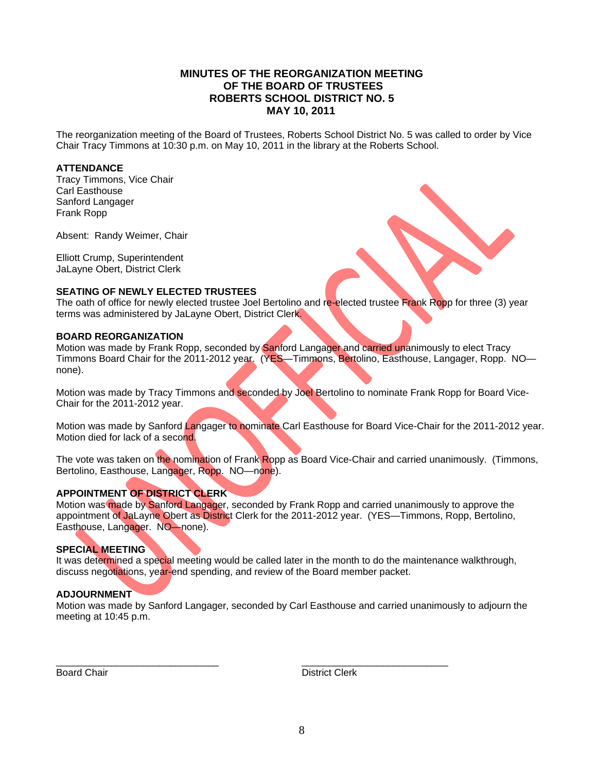# **MINUTES OF THE REORGANIZATION MEETING OF THE BOARD OF TRUSTEES ROBERTS SCHOOL DISTRICT NO. 5 MAY 10, 2011**

The reorganization meeting of the Board of Trustees, Roberts School District No. 5 was called to order by Vice Chair Tracy Timmons at 10:30 p.m. on May 10, 2011 in the library at the Roberts School.

# **ATTENDANCE**

Tracy Timmons, Vice Chair Carl Easthouse Sanford Langager Frank Ropp

Absent: Randy Weimer, Chair

Elliott Crump, Superintendent JaLayne Obert, District Clerk

# **SEATING OF NEWLY ELECTED TRUSTEES**

The oath of office for newly elected trustee Joel Bertolino and re-elected trustee Frank Ropp for three (3) year terms was administered by JaLayne Obert, District Clerk.

# **BOARD REORGANIZATION**

Motion was made by Frank Ropp, seconded by Sanford Langager and carried unanimously to elect Tracy Timmons Board Chair for the 2011-2012 year. (YES—Timmons, Bertolino, Easthouse, Langager, Ropp. NO none).

Motion was made by Tracy Timmons and seconded by Joel Bertolino to nominate Frank Ropp for Board Vice-Chair for the 2011-2012 year.

Motion was made by Sanford Langager to nominate Carl Easthouse for Board Vice-Chair for the 2011-2012 year. Motion died for lack of a second.

The vote was taken on the nomination of Frank Ropp as Board Vice-Chair and carried unanimously. (Timmons, Bertolino, Easthouse, Langager, Ropp. NO—none).

# **APPOINTMENT OF DISTRICT CLERK**

Motion was made by Sanford Langager, seconded by Frank Ropp and carried unanimously to approve the appointment of JaLayne Obert as District Clerk for the 2011-2012 year. (YES—Timmons, Ropp, Bertolino, Easthouse, Langager. NO—none).

# **SPECIAL MEETING**

It was determined a special meeting would be called later in the month to do the maintenance walkthrough, discuss negotiations, year-end spending, and review of the Board member packet.

# **ADJOURNMENT**

Motion was made by Sanford Langager, seconded by Carl Easthouse and carried unanimously to adjourn the meeting at 10:45 p.m.

\_\_\_\_\_\_\_\_\_\_\_\_\_\_\_\_\_\_\_\_\_\_\_\_\_\_\_\_\_\_ \_\_\_\_\_\_\_\_\_\_\_\_\_\_\_\_\_\_\_\_\_\_\_\_\_\_\_

Board Chair **District Clerk**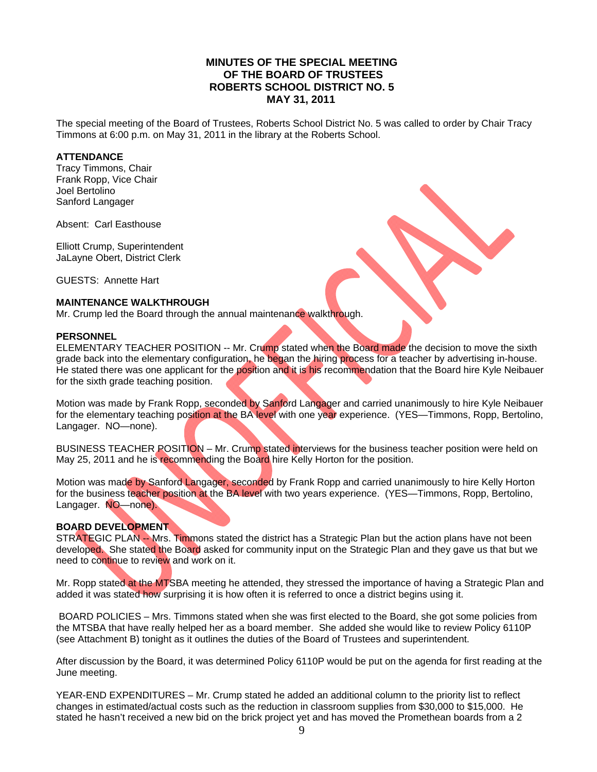# **MINUTES OF THE SPECIAL MEETING OF THE BOARD OF TRUSTEES ROBERTS SCHOOL DISTRICT NO. 5 MAY 31, 2011**

The special meeting of the Board of Trustees, Roberts School District No. 5 was called to order by Chair Tracy Timmons at 6:00 p.m. on May 31, 2011 in the library at the Roberts School.

#### **ATTENDANCE**

Tracy Timmons, Chair Frank Ropp, Vice Chair Joel Bertolino Sanford Langager

Absent: Carl Easthouse

Elliott Crump, Superintendent JaLayne Obert, District Clerk

GUESTS: Annette Hart

# **MAINTENANCE WALKTHROUGH**

Mr. Crump led the Board through the annual maintenance walkthrough.

#### **PERSONNEL**

ELEMENTARY TEACHER POSITION -- Mr. Crump stated when the Board made the decision to move the sixth grade back into the elementary configuration, he began the hiring process for a teacher by advertising in-house. He stated there was one applicant for the position and it is his recommendation that the Board hire Kyle Neibauer for the sixth grade teaching position.

Motion was made by Frank Ropp, seconded by Sanford Langager and carried unanimously to hire Kyle Neibauer for the elementary teaching position at the BA level with one year experience. (YES—Timmons, Ropp, Bertolino, Langager. NO—none).

BUSINESS TEACHER POSITION – Mr. Crump stated interviews for the business teacher position were held on May 25, 2011 and he is recommending the Board hire Kelly Horton for the position.

Motion was made by Sanford Langager, seconded by Frank Ropp and carried unanimously to hire Kelly Horton for the business teacher position at the BA level with two years experience. (YES—Timmons, Ropp, Bertolino, Langager. NO—none).

# **BOARD DEVELOPMENT**

STRATEGIC PLAN -- Mrs. Timmons stated the district has a Strategic Plan but the action plans have not been developed. She stated the Board asked for community input on the Strategic Plan and they gave us that but we need to continue to review and work on it.

Mr. Ropp stated at the MTSBA meeting he attended, they stressed the importance of having a Strategic Plan and added it was stated how surprising it is how often it is referred to once a district begins using it.

 BOARD POLICIES – Mrs. Timmons stated when she was first elected to the Board, she got some policies from the MTSBA that have really helped her as a board member. She added she would like to review Policy 6110P (see Attachment B) tonight as it outlines the duties of the Board of Trustees and superintendent.

After discussion by the Board, it was determined Policy 6110P would be put on the agenda for first reading at the June meeting.

YEAR-END EXPENDITURES – Mr. Crump stated he added an additional column to the priority list to reflect changes in estimated/actual costs such as the reduction in classroom supplies from \$30,000 to \$15,000. He stated he hasn't received a new bid on the brick project yet and has moved the Promethean boards from a 2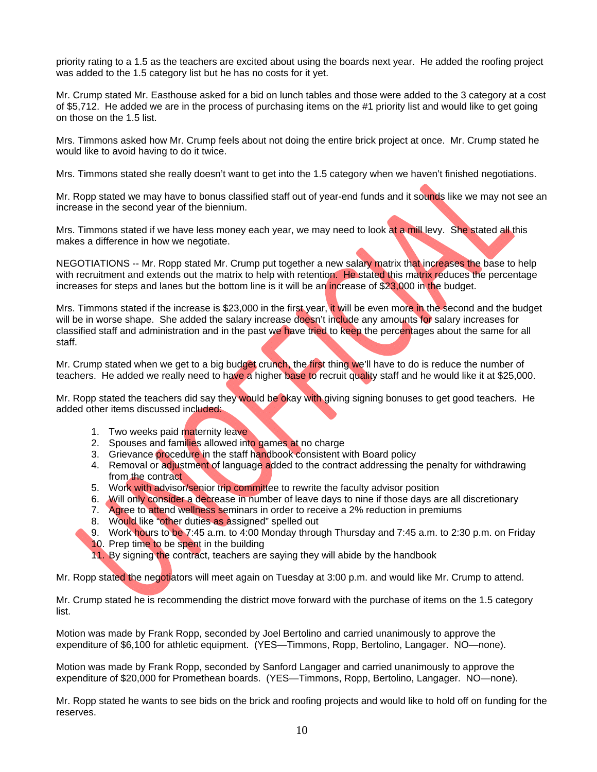priority rating to a 1.5 as the teachers are excited about using the boards next year. He added the roofing project was added to the 1.5 category list but he has no costs for it yet.

Mr. Crump stated Mr. Easthouse asked for a bid on lunch tables and those were added to the 3 category at a cost of \$5,712. He added we are in the process of purchasing items on the #1 priority list and would like to get going on those on the 1.5 list.

Mrs. Timmons asked how Mr. Crump feels about not doing the entire brick project at once. Mr. Crump stated he would like to avoid having to do it twice.

Mrs. Timmons stated she really doesn't want to get into the 1.5 category when we haven't finished negotiations.

Mr. Ropp stated we may have to bonus classified staff out of year-end funds and it sounds like we may not see an increase in the second year of the biennium.

Mrs. Timmons stated if we have less money each year, we may need to look at a mill levy. She stated all this makes a difference in how we negotiate.

NEGOTIATIONS -- Mr. Ropp stated Mr. Crump put together a new salary matrix that increases the base to help with recruitment and extends out the matrix to help with retention. He stated this matrix reduces the percentage increases for steps and lanes but the bottom line is it will be an increase of \$23,000 in the budget.

Mrs. Timmons stated if the increase is \$23,000 in the first year, it will be even more in the second and the budget will be in worse shape. She added the salary increase doesn't include any amounts for salary increases for classified staff and administration and in the past we have tried to keep the percentages about the same for all staff.

Mr. Crump stated when we get to a big budget crunch, the first thing we'll have to do is reduce the number of teachers. He added we really need to have a higher base to recruit quality staff and he would like it at \$25,000.

Mr. Ropp stated the teachers did say they would be okay with giving signing bonuses to get good teachers. He added other items discussed included:

- 1. Two weeks paid maternity leave
- 2. Spouses and families allowed into games at no charge
- 3. Grievance procedure in the staff handbook consistent with Board policy
- 4. Removal or adjustment of language added to the contract addressing the penalty for withdrawing from the contract
- 5. Work with advisor/senior trip committee to rewrite the faculty advisor position
- 6. Will only consider a decrease in number of leave days to nine if those days are all discretionary
- 7. Agree to attend wellness seminars in order to receive a 2% reduction in premiums
- 8. Would like "other duties as assigned" spelled out
- 9. Work hours to be 7:45 a.m. to 4:00 Monday through Thursday and 7:45 a.m. to 2:30 p.m. on Friday
- 10. Prep time to be spent in the building
- 11. By signing the contract, teachers are saying they will abide by the handbook

Mr. Ropp stated the negotiators will meet again on Tuesday at 3:00 p.m. and would like Mr. Crump to attend.

Mr. Crump stated he is recommending the district move forward with the purchase of items on the 1.5 category list.

Motion was made by Frank Ropp, seconded by Joel Bertolino and carried unanimously to approve the expenditure of \$6,100 for athletic equipment. (YES—Timmons, Ropp, Bertolino, Langager. NO—none).

Motion was made by Frank Ropp, seconded by Sanford Langager and carried unanimously to approve the expenditure of \$20,000 for Promethean boards. (YES—Timmons, Ropp, Bertolino, Langager. NO—none).

Mr. Ropp stated he wants to see bids on the brick and roofing projects and would like to hold off on funding for the reserves.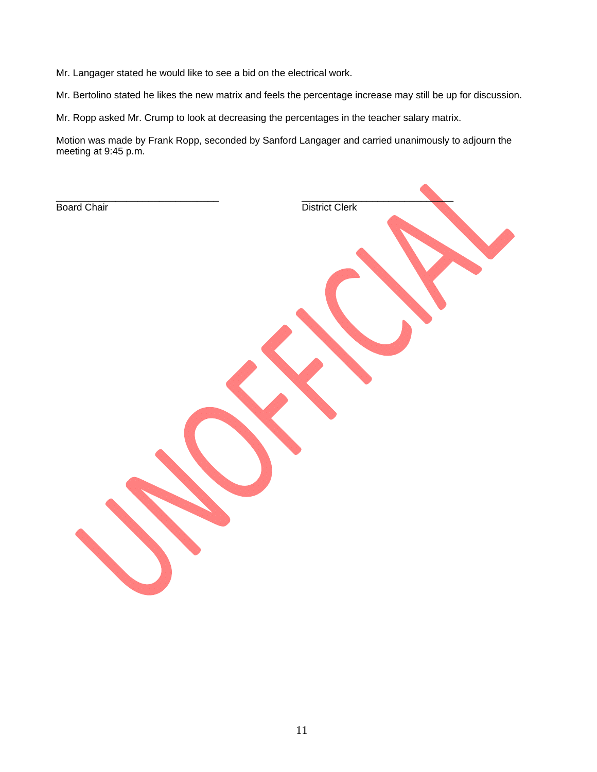Mr. Langager stated he would like to see a bid on the electrical work.

Mr. Bertolino stated he likes the new matrix and feels the percentage increase may still be up for discussion.

Mr. Ropp asked Mr. Crump to look at decreasing the percentages in the teacher salary matrix.

Motion was made by Frank Ropp, seconded by Sanford Langager and carried unanimously to adjourn the meeting at 9:45 p.m.